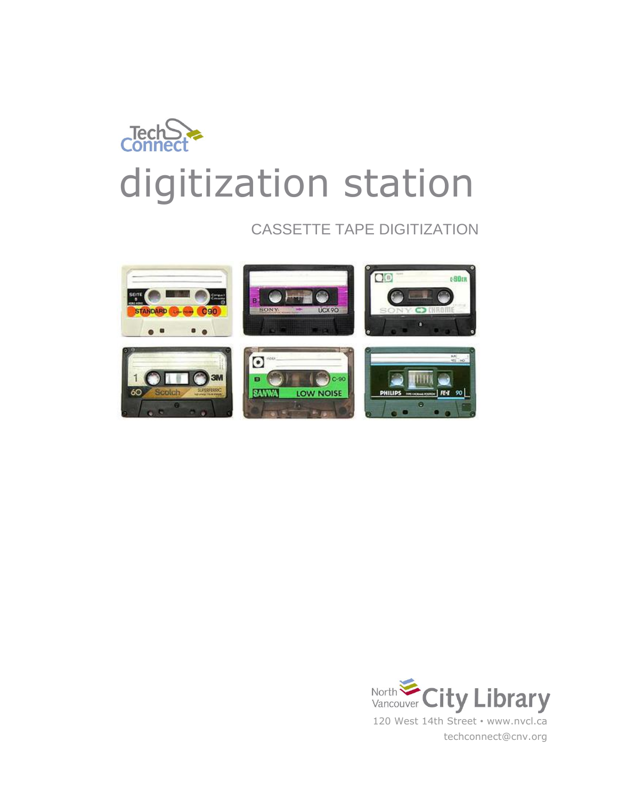

# CASSETTE TAPE DIGITIZATION



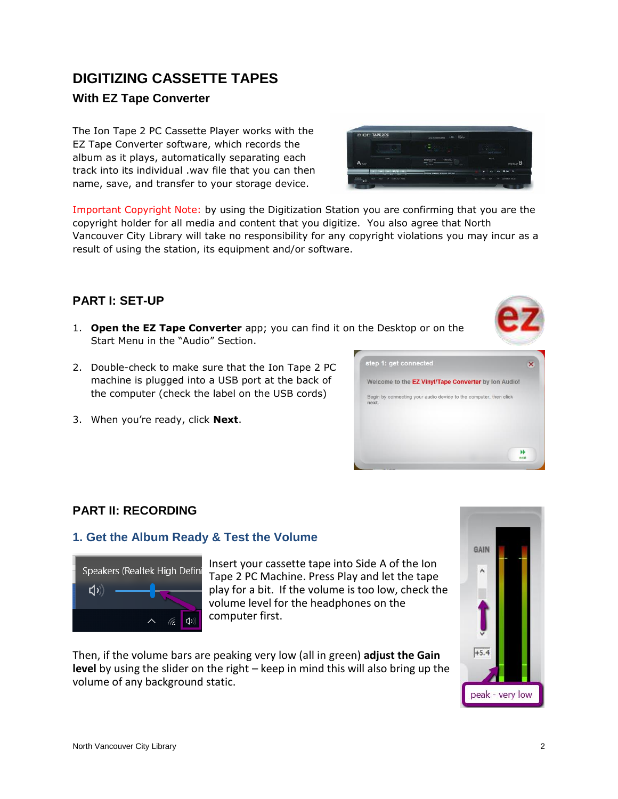# **With EZ Tape Converter**

**DIGITIZING CASSETTE TAPES**

The Ion Tape 2 PC Cassette Player works with the EZ Tape Converter software, which records the album as it plays, automatically separating each track into its individual .wav file that you can then name, save, and transfer to your storage device.

Important Copyright Note: by using the Digitization Station you are confirming that you are the copyright holder for all media and content that you digitize. You also agree that North Vancouver City Library will take no responsibility for any copyright violations you may incur as a result of using the station, its equipment and/or software.

#### **PART I: SET-UP**

- 1. **Open the EZ Tape Converter** app; you can find it on the Desktop or on the Start Menu in the "Audio" Section.
- 2. Double-check to make sure that the Ion Tape 2 PC machine is plugged into a USB port at the back of the computer (check the label on the USB cords)
- 3. When you're ready, click **Next**.

# **PART II: RECORDING**

#### **1. Get the Album Ready & Test the Volume**



Insert your cassette tape into Side A of the Ion Tape 2 PC Machine. Press Play and let the tape play for a bit. If the volume is too low, check the volume level for the headphones on the computer first.

Then, if the volume bars are peaking very low (all in green) **adjust the Gain level** by using the slider on the right – keep in mind this will also bring up the volume of any background static.





Welcome to the EZ Vinyl/Tape Converter by Ion Audio! Begin by connecting your audio device to the computer, then click

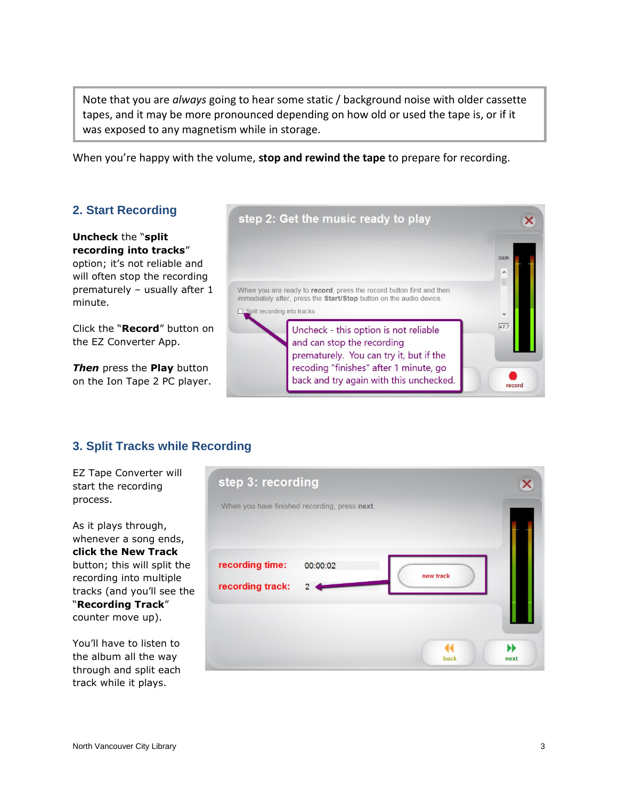Note that you are *always* going to hear some static / background noise with older cassette tapes, and it may be more pronounced depending on how old or used the tape is, or if it was exposed to any magnetism while in storage.

When you're happy with the volume, **stop and rewind the tape** to prepare for recording.

### **2. Start Recording**

# **Uncheck** the "**split recording into tracks**"

option; it's not reliable and will often stop the recording prematurely – usually after 1 minute.

Click the "**Record**" button on the EZ Converter App.

*Then* press the **Play** button on the Ion Tape 2 PC player.



### **3. Split Tracks while Recording**

EZ Tape Converter will start the recording process.

As it plays through, whenever a song ends, **click the New Track**  button; this will split the recording into multiple tracks (and you'll see the "**Recording Track**" counter move up).

You'll have to listen to the album all the way through and split each track while it plays.

| step 3: recording                             |                |                   |
|-----------------------------------------------|----------------|-------------------|
| When you have finished recording, press next. |                |                   |
|                                               |                |                   |
| recording time:                               | 00:00:02       | new track         |
| recording track:                              | $\overline{2}$ |                   |
|                                               |                |                   |
|                                               |                | Ы<br>back<br>next |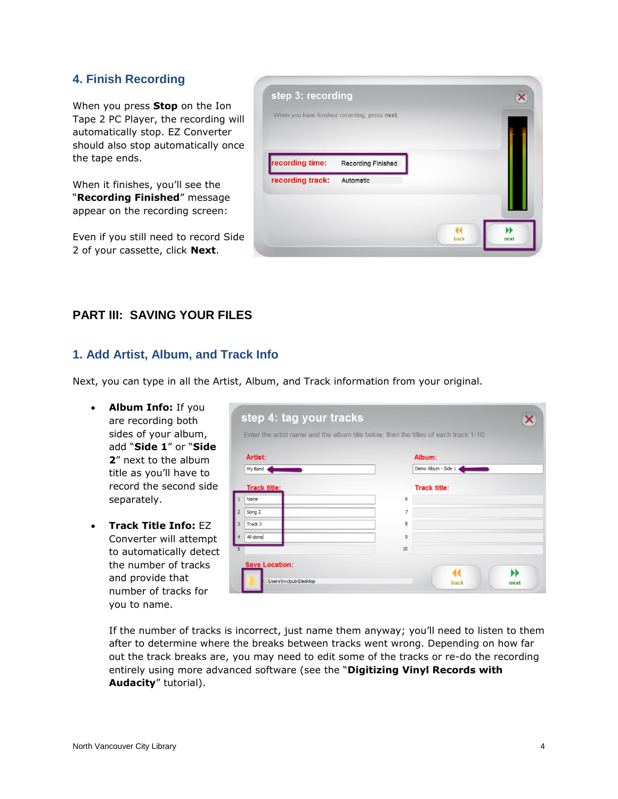#### **4. Finish Recording**

When you press **Stop** on the Ion Tape 2 PC Player, the recording will automatically stop. EZ Converter should also stop automatically once the tape ends.

When it finishes, you'll see the "**Recording Finished**" message appear on the recording screen:

Even if you still need to record Side 2 of your cassette, click **Next**.



#### **PART III: SAVING YOUR FILES**

#### **1. Add Artist, Album, and Track Info**

Next, you can type in all the Artist, Album, and Track information from your original.

- **Album Info:** If you are recording both sides of your album, add "**Side 1**" or "**Side 2**" next to the album title as you'll have to record the second side separately.
- **Track Title Info:** EZ Converter will attempt to automatically detect the number of tracks and provide that number of tracks for you to name.

| Artist:                  |    | Album:              |  |  |
|--------------------------|----|---------------------|--|--|
| My Band                  |    | Demo Album - Side 1 |  |  |
| <b>Track title:</b>      |    | <b>Track title:</b> |  |  |
| Name                     | 6  |                     |  |  |
| Song 2<br>$\overline{2}$ | 7  |                     |  |  |
| Track 3<br>3             | 8  |                     |  |  |
| All done                 | 9  |                     |  |  |
| 5                        | 10 |                     |  |  |

If the number of tracks is incorrect, just name them anyway; you'll need to listen to them after to determine where the breaks between tracks went wrong. Depending on how far out the track breaks are, you may need to edit some of the tracks or re-do the recording entirely using more advanced software (see the "**Digitizing Vinyl Records with Audacity**" tutorial).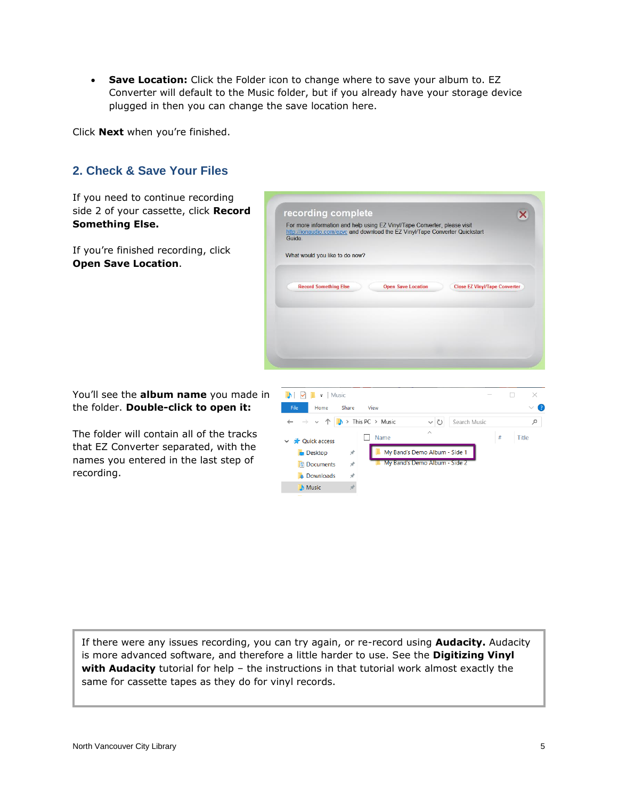**Save Location:** Click the Folder icon to change where to save your album to. EZ Converter will default to the Music folder, but if you already have your storage device plugged in then you can change the save location here.

recording complete

For more information and help using EZ Vinyl/Tape Converter, please visit

Click **Next** when you're finished.

### **2. Check & Save Your Files**

If you need to continue recording side 2 of your cassette, click **Record Something Else.**

If you're finished recording, click **Open Save Location**.

You'll see the **album name** you made in the folder. **Double-click to open it:**

The folder will contain all of the tracks that EZ Converter separated, with the names you entered in the last step of recording.



If there were any issues recording, you can try again, or re-record using **Audacity.** Audacity is more advanced software, and therefore a little harder to use. See the **Digitizing Vinyl with Audacity** tutorial for help – the instructions in that tutorial work almost exactly the same for cassette tapes as they do for vinyl records.

**L** Downloads

**A** Music

 $\vec{r}$ 

 $\mathcal{R}$ 

 $\overline{\mathsf{x}}$